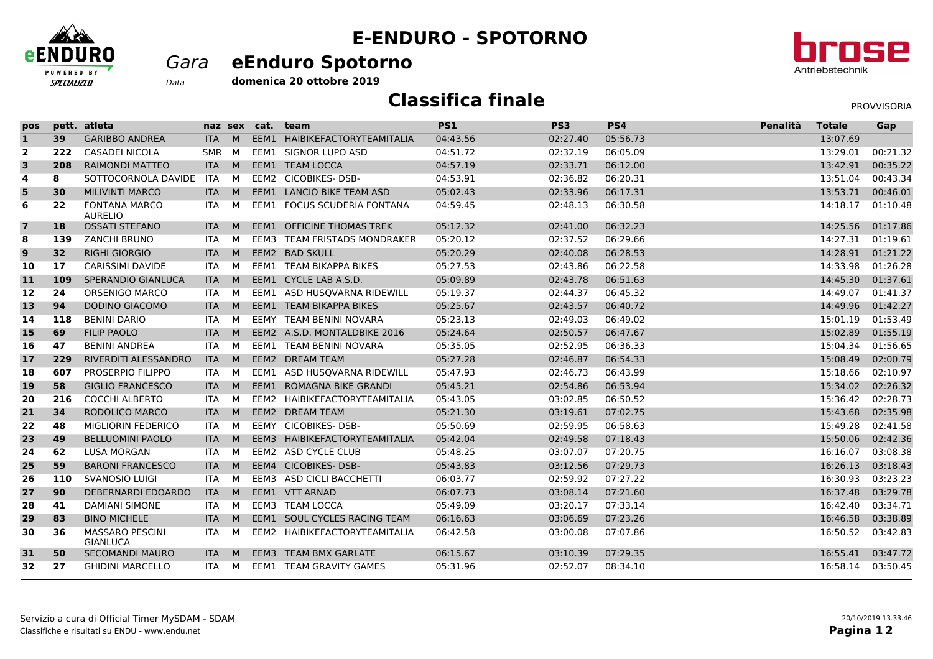

## **E-ENDURO - SPOTORNO**

## *Gara* **eEnduro Spotorno**

br **DS2** Antriebstechnik

**domenica 20 ottobre 2019***Data*

## **Classifica finale**

| ⊂ | PROVVISORIA |
|---|-------------|
|   |             |

| pos                     |     | pett. atleta                              | naz sex    |          | cat. | team                            | <b>PS1</b> | PS3      | PS4      | Penalità | <b>Totale</b> | Gap      |
|-------------------------|-----|-------------------------------------------|------------|----------|------|---------------------------------|------------|----------|----------|----------|---------------|----------|
| $\mathbf{1}$            | 39  | <b>GARIBBO ANDREA</b>                     | <b>ITA</b> | M        |      | EEM1 HAIBIKEFACTORYTEAMITALIA   | 04:43.56   | 02:27.40 | 05:56.73 |          | 13:07.69      |          |
| $\overline{2}$          | 222 | <b>CASADEI NICOLA</b>                     | <b>SMR</b> | <b>M</b> |      | EEM1 SIGNOR LUPO ASD            | 04:51.72   | 02:32.19 | 06:05.09 |          | 13:29.01      | 00:21.32 |
| $\overline{\mathbf{3}}$ | 208 | <b>RAIMONDI MATTEO</b>                    | <b>ITA</b> | M        |      | EEM1 TEAM LOCCA                 | 04:57.19   | 02:33.71 | 06:12.00 |          | 13:42.91      | 00:35.22 |
| 4                       | 8   | SOTTOCORNOLA DAVIDE                       | <b>ITA</b> | M        |      | EEM2 CICOBIKES-DSB-             | 04:53.91   | 02:36.82 | 06:20.31 |          | 13:51.04      | 00:43.34 |
| 5                       | 30  | <b>MILIVINTI MARCO</b>                    | <b>ITA</b> | M        |      | EEM1 LANCIO BIKE TEAM ASD       | 05:02.43   | 02:33.96 | 06:17.31 |          | 13:53.71      | 00:46.01 |
| $\bf 6$                 | 22  | <b>FONTANA MARCO</b><br><b>AURELIO</b>    | ITA.       | M        |      | EEM1 FOCUS SCUDERIA FONTANA     | 04:59.45   | 02:48.13 | 06:30.58 |          | 14:18.17      | 01:10.48 |
| $\overline{7}$          | 18  | <b>OSSATI STEFANO</b>                     | <b>ITA</b> | M        |      | EEM1 OFFICINE THOMAS TREK       | 05:12.32   | 02:41.00 | 06:32.23 |          | 14:25.56      | 01:17.86 |
| 8                       | 139 | <b>ZANCHI BRUNO</b>                       | <b>ITA</b> | M        |      | EEM3 TEAM FRISTADS MONDRAKER    | 05:20.12   | 02:37.52 | 06:29.66 |          | 14:27.31      | 01:19.61 |
| 9                       | 32  | <b>RIGHI GIORGIO</b>                      | <b>ITA</b> | M        |      | EEM2 BAD SKULL                  | 05:20.29   | 02:40.08 | 06:28.53 |          | 14:28.91      | 01:21.22 |
| 10                      | 17  | <b>CARISSIMI DAVIDE</b>                   | <b>ITA</b> | M        |      | EEM1 TEAM BIKAPPA BIKES         | 05:27.53   | 02:43.86 | 06:22.58 |          | 14:33.98      | 01:26.28 |
| 11                      | 109 | SPERANDIO GIANLUCA                        | <b>ITA</b> | M        |      | EEM1 CYCLE LAB A.S.D.           | 05:09.89   | 02:43.78 | 06:51.63 |          | 14:45.30      | 01:37.61 |
| 12                      | 24  | <b>ORSENIGO MARCO</b>                     | ITA.       | M        |      | EEM1 ASD HUSQVARNA RIDEWILL     | 05:19.37   | 02:44.37 | 06:45.32 |          | 14:49.07      | 01:41.37 |
| 13                      | 94  | <b>DODINO GIACOMO</b>                     | <b>ITA</b> | M        |      | <b>EEM1 TEAM BIKAPPA BIKES</b>  | 05:25.67   | 02:43.57 | 06:40.72 |          | 14:49.96      | 01:42.27 |
| 14                      | 118 | <b>BENINI DARIO</b>                       | <b>ITA</b> | M        |      | EEMY TEAM BENINI NOVARA         | 05:23.13   | 02:49.03 | 06:49.02 |          | 15:01.19      | 01:53.49 |
| 15                      | 69  | <b>FILIP PAOLO</b>                        | <b>ITA</b> | M        |      | EEM2 A.S.D. MONTALDBIKE 2016    | 05:24.64   | 02:50.57 | 06:47.67 |          | 15:02.89      | 01:55.19 |
| 16                      | 47  | <b>BENINI ANDREA</b>                      | <b>ITA</b> | M        |      | EEM1 TEAM BENINI NOVARA         | 05:35.05   | 02:52.95 | 06:36.33 |          | 15:04.34      | 01:56.65 |
| 17                      | 229 | RIVERDITI ALESSANDRO                      | <b>ITA</b> | M        |      | EEM2 DREAM TEAM                 | 05:27.28   | 02:46.87 | 06:54.33 |          | 15:08.49      | 02:00.79 |
| 18                      | 607 | <b>PROSERPIO FILIPPO</b>                  | ITA        | M        |      | EEM1 ASD HUSQVARNA RIDEWILL     | 05:47.93   | 02:46.73 | 06:43.99 |          | 15:18.66      | 02:10.97 |
| 19                      | 58  | <b>GIGLIO FRANCESCO</b>                   | <b>ITA</b> | M        |      | <b>EEM1 ROMAGNA BIKE GRANDI</b> | 05:45.21   | 02:54.86 | 06:53.94 |          | 15:34.02      | 02:26.32 |
| 20                      | 216 | <b>COCCHI ALBERTO</b>                     | <b>ITA</b> | M        |      | EEM2 HAIBIKEFACTORYTEAMITALIA   | 05:43.05   | 03:02.85 | 06:50.52 |          | 15:36.42      | 02:28.73 |
| 21                      | 34  | RODOLICO MARCO                            | <b>ITA</b> | M        |      | EEM2 DREAM TEAM                 | 05:21.30   | 03:19.61 | 07:02.75 |          | 15:43.68      | 02:35.98 |
| 22                      | 48  | <b>MIGLIORIN FEDERICO</b>                 | <b>ITA</b> | M        |      | EEMY CICOBIKES-DSB-             | 05:50.69   | 02:59.95 | 06:58.63 |          | 15:49.28      | 02:41.58 |
| 23                      | 49  | <b>BELLUOMINI PAOLO</b>                   | <b>ITA</b> | M        |      | EEM3 HAIBIKEFACTORYTEAMITALIA   | 05:42.04   | 02:49.58 | 07:18.43 |          | 15:50.06      | 02:42.36 |
| 24                      | 62  | <b>LUSA MORGAN</b>                        | <b>ITA</b> | M        |      | EEM2 ASD CYCLE CLUB             | 05:48.25   | 03:07.07 | 07:20.75 |          | 16:16.07      | 03:08.38 |
| 25                      | 59  | <b>BARONI FRANCESCO</b>                   | <b>ITA</b> | M        |      | EEM4 CICOBIKES-DSB-             | 05:43.83   | 03:12.56 | 07:29.73 |          | 16:26.13      | 03:18.43 |
| 26                      | 110 | <b>SVANOSIO LUIGI</b>                     | <b>ITA</b> | M        |      | EEM3 ASD CICLI BACCHETTI        | 06:03.77   | 02:59.92 | 07:27.22 |          | 16:30.93      | 03:23.23 |
| 27                      | 90  | DEBERNARDI EDOARDO                        | <b>ITA</b> | M        |      | EEM1 VTT ARNAD                  | 06:07.73   | 03:08.14 | 07:21.60 |          | 16:37.48      | 03:29.78 |
| 28                      | 41  | <b>DAMIANI SIMONE</b>                     | <b>ITA</b> | M        |      | EEM3 TEAM LOCCA                 | 05:49.09   | 03:20.17 | 07:33.14 |          | 16:42.40      | 03:34.71 |
| 29                      | 83  | <b>BINO MICHELE</b>                       | <b>ITA</b> | M        |      | EEM1 SOUL CYCLES RACING TEAM    | 06:16.63   | 03:06.69 | 07:23.26 |          | 16:46.58      | 03:38.89 |
| 30                      | 36  | <b>MASSARO PESCINI</b><br><b>GIANLUCA</b> | ITA        | м        |      | EEM2 HAIBIKEFACTORYTEAMITALIA   | 06:42.58   | 03:00.08 | 07:07.86 |          | 16:50.52      | 03:42.83 |
| 31                      | 50  | <b>SECOMANDI MAURO</b>                    | <b>ITA</b> | M        |      | EEM3 TEAM BMX GARLATE           | 06:15.67   | 03:10.39 | 07:29.35 |          | 16:55.41      | 03:47.72 |
| 32                      | 27  | <b>GHIDINI MARCELLO</b>                   | ITA        | <b>M</b> |      | <b>EEM1 TEAM GRAVITY GAMES</b>  | 05:31.96   | 02:52.07 | 08:34.10 |          | 16:58.14      | 03:50.45 |